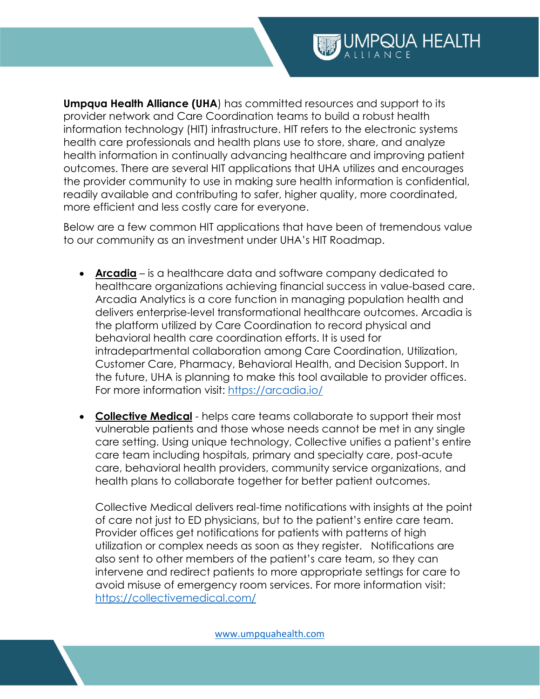**Umpqua Health Alliance (UHA)** has committed resources and support to its provider network and Care Coordination teams to build a robust health information technology (HIT) infrastructure. HIT refers to the electronic systems health care professionals and health plans use to store, share, and analyze health information in continually advancing healthcare and improving patient outcomes. There are several HIT applications that UHA utilizes and encourages the provider community to use in making sure health information is confidential, readily available and contributing to safer, higher quality, more coordinated, more efficient and less costly care for everyone.

Below are a few common HIT applications that have been of tremendous value to our community as an investment under UHA's HIT Roadmap.

- **Arcadia** is a healthcare data and software company dedicated to healthcare organizations achieving financial success in value-based care. Arcadia Analytics is a core function in managing population health and delivers enterprise-level transformational healthcare outcomes. Arcadia is the platform utilized by Care Coordination to record physical and behavioral health care coordination efforts. It is used for intradepartmental collaboration among Care Coordination, Utilization, Customer Care, Pharmacy, Behavioral Health, and Decision Support. In the future, UHA is planning to make this tool available to provider offices. For more information visit:<https://arcadia.io/>
- **Collective Medical** helps care teams collaborate to support their most vulnerable patients and those whose needs cannot be met in any single care setting. Using unique technology, Collective unifies a patient's entire care team including hospitals, primary and specialty care, post-acute care, behavioral health providers, community service organizations, and health plans to collaborate together for better patient outcomes.

Collective Medical delivers real-time notifications with insights at the point of care not just to ED physicians, but to the patient's entire care team. Provider offices get notifications for patients with patterns of high utilization or complex needs as soon as they register. Notifications are also sent to other members of the patient's care team, so they can intervene and redirect patients to more appropriate settings for care to avoid misuse of emergency room services. For more information visit: <https://collectivemedical.com/>